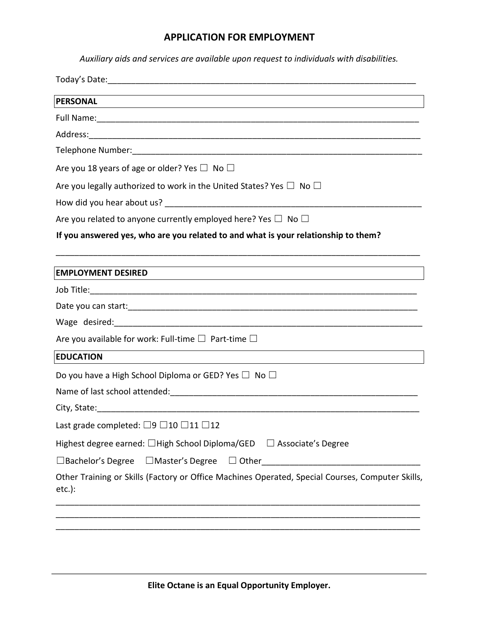*Auxiliary aids and services are available upon request to individuals with disabilities.* 

| PERSONAL                                                                                                      |  |  |
|---------------------------------------------------------------------------------------------------------------|--|--|
|                                                                                                               |  |  |
|                                                                                                               |  |  |
|                                                                                                               |  |  |
| Are you 18 years of age or older? Yes $\Box$ No $\Box$                                                        |  |  |
| Are you legally authorized to work in the United States? Yes $\Box$ No $\Box$                                 |  |  |
|                                                                                                               |  |  |
| Are you related to anyone currently employed here? Yes $\Box$ No $\Box$                                       |  |  |
| If you answered yes, who are you related to and what is your relationship to them?                            |  |  |
| <b>EMPLOYMENT DESIRED</b>                                                                                     |  |  |
|                                                                                                               |  |  |
|                                                                                                               |  |  |
|                                                                                                               |  |  |
| Are you available for work: Full-time $\square$ Part-time $\square$                                           |  |  |
| <b>EDUCATION</b><br><u> 1989 - Johann Stein, mars an t-Amerikaansk kommunister (</u>                          |  |  |
| Do you have a High School Diploma or GED? Yes $\Box$ No $\Box$                                                |  |  |
|                                                                                                               |  |  |
|                                                                                                               |  |  |
| Last grade completed: $\Box$ 9 $\Box$ 10 $\Box$ 11 $\Box$ 12                                                  |  |  |
| Highest degree earned: □High School Diploma/GED<br>$\Box$ Associate's Degree                                  |  |  |
| $\square$ Bachelor's Degree<br>$\Box$ Master's Degree<br>$\Box$ Other                                         |  |  |
| Other Training or Skills (Factory or Office Machines Operated, Special Courses, Computer Skills,<br>$etc.$ ): |  |  |
|                                                                                                               |  |  |

\_\_\_\_\_\_\_\_\_\_\_\_\_\_\_\_\_\_\_\_\_\_\_\_\_\_\_\_\_\_\_\_\_\_\_\_\_\_\_\_\_\_\_\_\_\_\_\_\_\_\_\_\_\_\_\_\_\_\_\_\_\_\_\_\_\_\_\_\_\_\_\_\_\_\_\_\_\_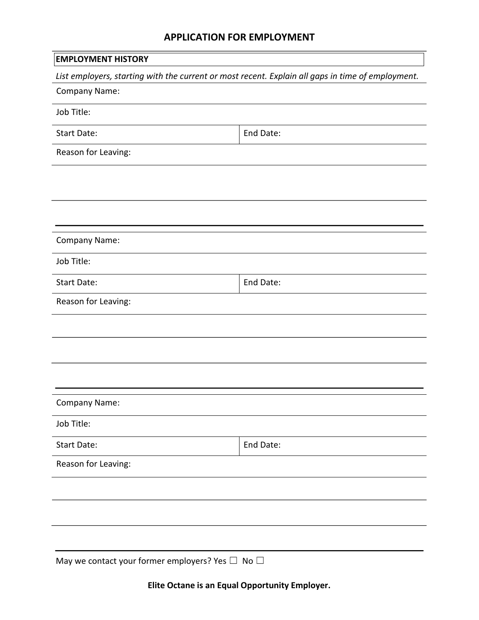| <b>EMPLOYMENT HISTORY</b>                                                                         |           |  |
|---------------------------------------------------------------------------------------------------|-----------|--|
| List employers, starting with the current or most recent. Explain all gaps in time of employment. |           |  |
| Company Name:                                                                                     |           |  |
| Job Title:                                                                                        |           |  |
| Start Date:                                                                                       | End Date: |  |
| Reason for Leaving:                                                                               |           |  |
|                                                                                                   |           |  |
|                                                                                                   |           |  |
|                                                                                                   |           |  |
| Company Name:                                                                                     |           |  |
| Job Title:                                                                                        |           |  |
| Start Date:                                                                                       | End Date: |  |
| Reason for Leaving:                                                                               |           |  |
|                                                                                                   |           |  |
|                                                                                                   |           |  |
|                                                                                                   |           |  |
|                                                                                                   |           |  |
| Company Name:                                                                                     |           |  |
| Job Title:                                                                                        |           |  |
| Start Date:                                                                                       | End Date: |  |
| Reason for Leaving:                                                                               |           |  |
|                                                                                                   |           |  |
|                                                                                                   |           |  |
|                                                                                                   |           |  |
| May we contact your former employers? Yes $\Box$ No $\Box$                                        |           |  |
|                                                                                                   |           |  |

**Elite Octane is an Equal Opportunity Employer.**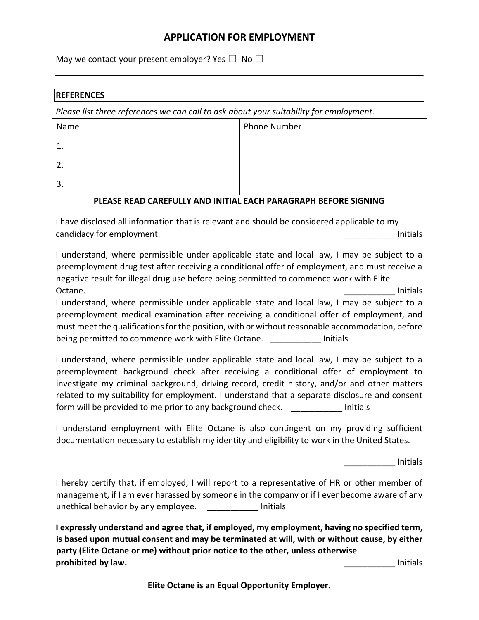May we contact your present employer? Yes  $\square$  No  $\square$ 

#### **REFERENCES**

*Please list three references we can call to ask about your suitability for employment.* 

| Name          | <b>Phone Number</b> |
|---------------|---------------------|
| ┻.            |                     |
| ┑<br><u>.</u> |                     |
| 3.            |                     |

#### **PLEASE READ CAREFULLY AND INITIAL EACH PARAGRAPH BEFORE SIGNING**

I have disclosed all information that is relevant and should be considered applicable to my candidacy for employment. The contract of the contract of the contract of the contract of the contract of the contract of the contract of the contract of the contract of the contract of the contract of the contract of the

I understand, where permissible under applicable state and local law, I may be subject to a preemployment drug test after receiving a conditional offer of employment, and must receive a negative result for illegal drug use before being permitted to commence work with Elite Octane. \_\_\_\_\_\_\_\_\_\_\_ Initials

I understand, where permissible under applicable state and local law, I may be subject to a preemployment medical examination after receiving a conditional offer of employment, and must meet the qualifications for the position, with or without reasonable accommodation, before being permitted to commence work with Elite Octane. **Example 2** Initials

I understand, where permissible under applicable state and local law, I may be subject to a preemployment background check after receiving a conditional offer of employment to investigate my criminal background, driving record, credit history, and/or and other matters related to my suitability for employment. I understand that a separate disclosure and consent form will be provided to me prior to any background check. The same initials

I understand employment with Elite Octane is also contingent on my providing sufficient documentation necessary to establish my identity and eligibility to work in the United States.

\_\_\_\_\_\_\_\_\_\_\_ Initials

I hereby certify that, if employed, I will report to a representative of HR or other member of management, if I am ever harassed by someone in the company or if I ever become aware of any unethical behavior by any employee. Thitials

**I expressly understand and agree that, if employed, my employment, having no specified term, is based upon mutual consent and may be terminated at will, with or without cause, by either party (Elite Octane or me) without prior notice to the other, unless otherwise prohibited by law. and the contract of the contract of the contract of the contract of the contract of the contract of the contract of the contract of the contract of the contract of the contract of the contract of the** 

**Elite Octane is an Equal Opportunity Employer.**